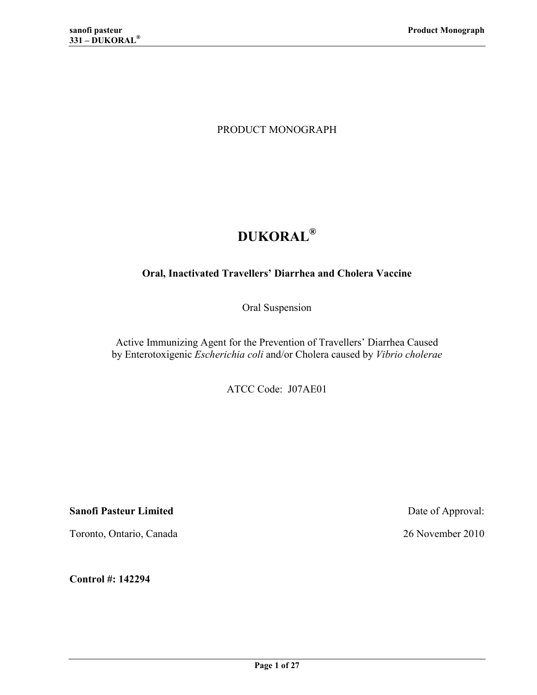PRODUCT MONOGRAPH

# **DUKORAL<sup>Æ</sup>**

## **Oral, Inactivated Travellers' Diarrhea and Cholera Vaccine**

Oral Suspension

Active Immunizing Agent for the Prevention of Travellers' Diarrhea Caused by Enterotoxigenic *Escherichia coli* and/or Cholera caused by *Vibrio cholerae*

ATCC Code: J07AE01

**Sanofi Pasteur Limited** Date of Approval:

Toronto, Ontario, Canada 26 November 2010

**Control #: 142294**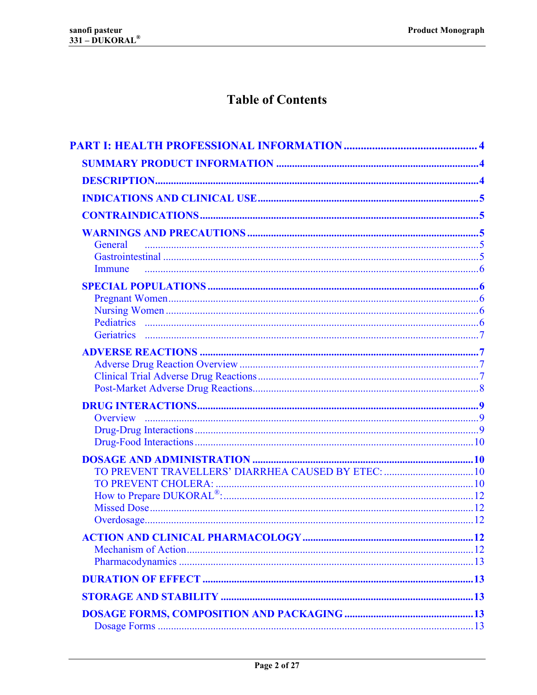# **Table of Contents**

| General                                             |  |
|-----------------------------------------------------|--|
|                                                     |  |
| Immune                                              |  |
|                                                     |  |
|                                                     |  |
|                                                     |  |
|                                                     |  |
|                                                     |  |
|                                                     |  |
|                                                     |  |
|                                                     |  |
|                                                     |  |
| <b>Overview</b>                                     |  |
|                                                     |  |
|                                                     |  |
|                                                     |  |
| TO PREVENT TRAVELLERS' DIARRHEA CAUSED BY ETEC:  10 |  |
|                                                     |  |
|                                                     |  |
|                                                     |  |
|                                                     |  |
|                                                     |  |
|                                                     |  |
|                                                     |  |
|                                                     |  |
|                                                     |  |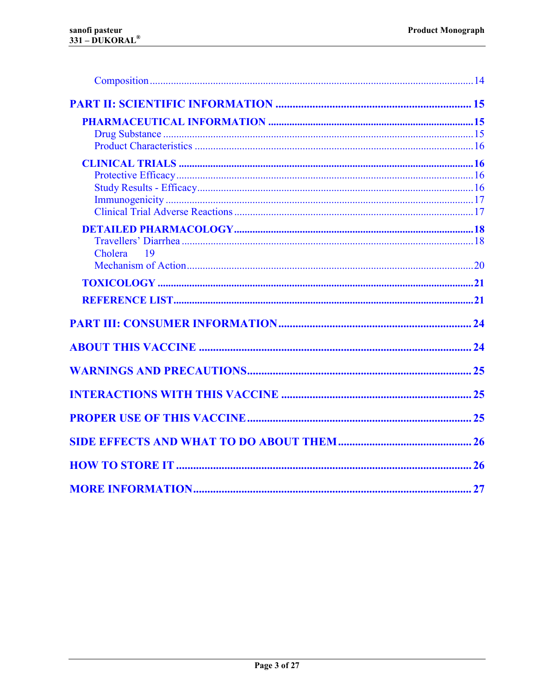| Cholera<br>$\overline{19}$ |  |
|----------------------------|--|
|                            |  |
|                            |  |
|                            |  |
|                            |  |
|                            |  |
|                            |  |
|                            |  |
|                            |  |
|                            |  |
|                            |  |
|                            |  |
|                            |  |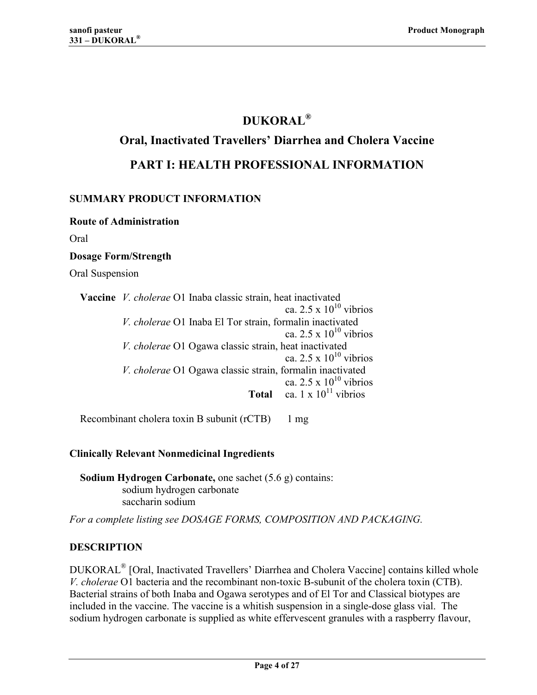## **DUKORAL<sup>Æ</sup>**

## <span id="page-3-0"></span>**Oral, Inactivated Travellers' Diarrhea and Cholera Vaccine**

## **PART I: HEALTH PROFESSIONAL INFORMATION**

## **SUMMARY PRODUCT INFORMATION**

**Route of Administration** 

Oral

## **Dosage Form/Strength**

Oral Suspension

| Vaccine V. cholerae O1 Inaba classic strain, heat inactivated |  |  |
|---------------------------------------------------------------|--|--|
| ca. 2.5 x $10^{10}$ vibrios                                   |  |  |
| V. cholerae O1 Inaba El Tor strain, formalin inactivated      |  |  |
| ca. $2.5 \times 10^{10}$ vibrios                              |  |  |
| V. cholerae O1 Ogawa classic strain, heat inactivated         |  |  |
| ca. 2.5 x $10^{10}$ vibrios                                   |  |  |
| V. cholerae O1 Ogawa classic strain, formalin inactivated     |  |  |
| ca. 2.5 x $10^{10}$ vibrios                                   |  |  |
| <b>Total</b> ca. $1 \times 10^{11}$ vibrios                   |  |  |
|                                                               |  |  |

Recombinant cholera toxin B subunit (rCTB) 1 mg

## **Clinically Relevant Nonmedicinal Ingredients**

**Sodium Hydrogen Carbonate,** one sachet (5.6 g) contains: sodium hydrogen carbonate saccharin sodium

*For a complete listing see DOSAGE FORMS, COMPOSITION AND PACKAGING.*

## **DESCRIPTION**

DUKORAL<sup>®</sup> [Oral, Inactivated Travellers' Diarrhea and Cholera Vaccine] contains killed whole *V. cholerae* O1 bacteria and the recombinant non-toxic B-subunit of the cholera toxin (CTB). Bacterial strains of both Inaba and Ogawa serotypes and of El Tor and Classical biotypes are included in the vaccine. The vaccine is a whitish suspension in a single-dose glass vial. The sodium hydrogen carbonate is supplied as white effervescent granules with a raspberry flavour,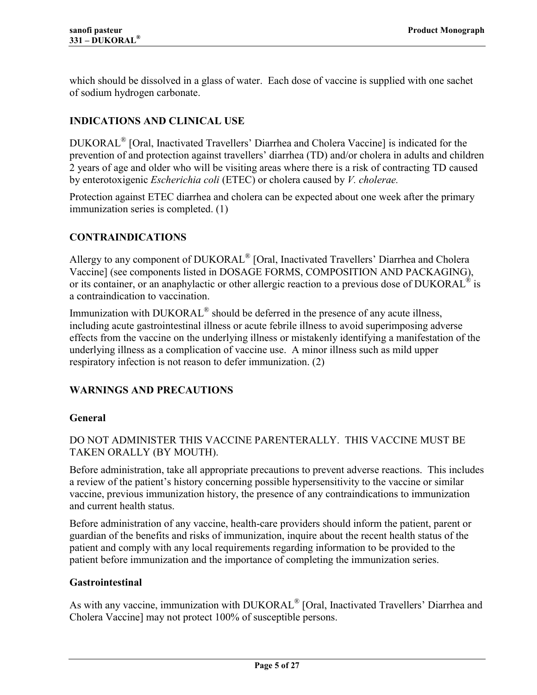<span id="page-4-0"></span>which should be dissolved in a glass of water. Each dose of vaccine is supplied with one sachet of sodium hydrogen carbonate.

## **INDICATIONS AND CLINICAL USE**

DUKORAL<sup>®</sup> [Oral, Inactivated Travellers' Diarrhea and Cholera Vaccine] is indicated for the prevention of and protection against travellers' diarrhea (TD) and/or cholera in adults and children 2 years of age and older who will be visiting areas where there is a risk of contracting TD caused by enterotoxigenic *Escherichia coli* (ETEC) or cholera caused by *V. cholerae.*

Protection against ETEC diarrhea and cholera can be expected about one week after the primary immunization series is completed. [\(1\)](#page-20-0)

## **CONTRAINDICATIONS**

Allergy to any component of DUKORAL<sup>®</sup> [Oral, Inactivated Travellers' Diarrhea and Cholera Vaccine] (see components listed in DOSAGE FORMS, COMPOSITION AND PACKAGING), or its container, or an anaphylactic or other allergic reaction to a previous dose of DUKORAL<sup>®</sup> is a contraindication to vaccination.

Immunization with DUKORAL® should be deferred in the presence of any acute illness, including acute gastrointestinal illness or acute febrile illness to avoid superimposing adverse effects from the vaccine on the underlying illness or mistakenly identifying a manifestation of the underlying illness as a complication of vaccine use. A minor illness such as mild upper respiratory infection is not reason to defer immunization. [\(2\)](#page-20-0)

## **WARNINGS AND PRECAUTIONS**

## **General**

## DO NOT ADMINISTER THIS VACCINE PARENTERALLY. THIS VACCINE MUST BE TAKEN ORALLY (BY MOUTH).

Before administration, take all appropriate precautions to prevent adverse reactions. This includes a review of the patient's history concerning possible hypersensitivity to the vaccine or similar vaccine, previous immunization history, the presence of any contraindications to immunization and current health status.

Before administration of any vaccine, health-care providers should inform the patient, parent or guardian of the benefits and risks of immunization, inquire about the recent health status of the patient and comply with any local requirements regarding information to be provided to the patient before immunization and the importance of completing the immunization series.

## **Gastrointestinal**

As with any vaccine, immunization with DUKORAL<sup>®</sup> [Oral, Inactivated Travellers' Diarrhea and Cholera Vaccine] may not protect 100% of susceptible persons.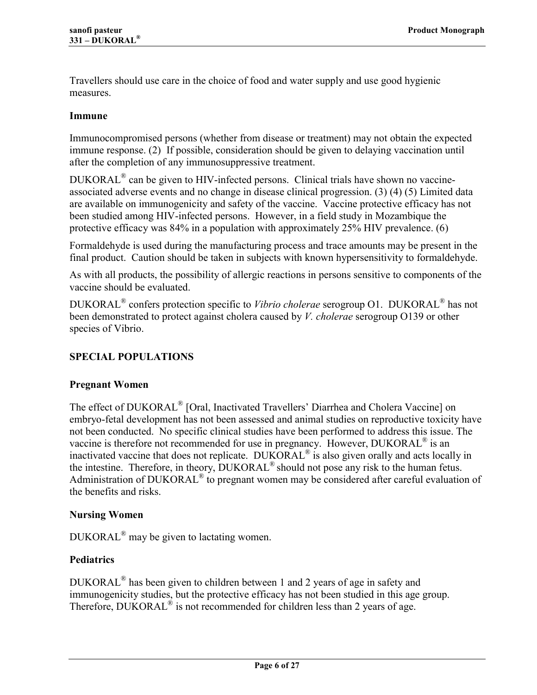<span id="page-5-0"></span>Travellers should use care in the choice of food and water supply and use good hygienic measures.

#### **Immune**

Immunocompromised persons (whether from disease or treatment) may not obtain the expected immune response. (2) If possible, consideration should be given to delaying vaccination until after the completi[on o](#page-20-0)f any immunosuppressive treatment.

 $DUKORAL<sup>®</sup>$  can be given to HIV-infected persons. Clinical trials have shown no vaccineassociated adverse events and no change in disease clinical progression. (3) (4) (5) Limited data are available on immunogenicity and safety of the vaccine. Vaccine pro[tective effi](#page-20-0)cacy has not been studied among HIV-infected persons. However, in a field study in Mozambique the protective efficacy was 84% in a population with approximately 25% HIV prevalence. [\(6\)](#page-20-0)

Formaldehyde is used during the manufacturing process and trace amounts may be present in the final product. Caution should be taken in subjects with known hypersensitivity to formaldehyde.

As with all products, the possibility of allergic reactions in persons sensitive to components of the vaccine should be evaluated.

DUKORAL<sup>®</sup> confers protection specific to *Vibrio cholerae* serogroup O1. DUKORAL<sup>®</sup> has not been demonstrated to protect against cholera caused by *V. cholerae* serogroup O139 or other species of Vibrio.

## **SPECIAL POPULATIONS**

#### **Pregnant Women**

The effect of DUKORAL<sup>®</sup> [Oral, Inactivated Travellers' Diarrhea and Cholera Vaccine] on embryo-fetal development has not been assessed and animal studies on reproductive toxicity have not been conducted. No specific clinical studies have been performed to address this issue. The vaccine is therefore not recommended for use in pregnancy. However, DUKORAL® is an inactivated vaccine that does not replicate. DUKORAL<sup>®</sup> is also given orally and acts locally in the intestine. Therefore, in theory, DUKORAL<sup>®</sup> should not pose any risk to the human fetus. Administration of DUKORAL<sup>®</sup> to pregnant women may be considered after careful evaluation of the benefits and risks.

## **Nursing Women**

 $DUKORAL^{\circledR}$  may be given to lactating women.

## **Pediatrics**

 $DUKORAL<sup>®</sup>$  has been given to children between 1 and 2 years of age in safety and immunogenicity studies, but the protective efficacy has not been studied in this age group. Therefore,  $DUKORAL^{\circledR}$  is not recommended for children less than 2 years of age.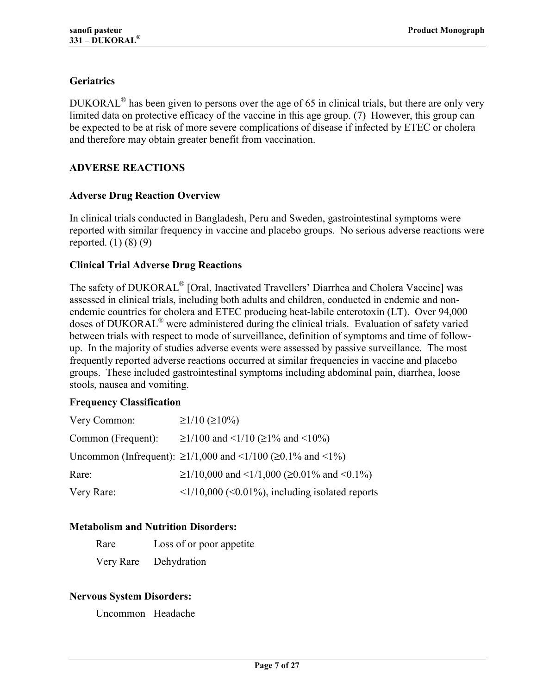## <span id="page-6-0"></span>**Geriatrics**

DUKORAL $^{\circ}$  has been given to persons over the age of 65 in clinical trials, but there are only very limited data on protective efficacy of the vaccine in this age group. (7) However, this group can be expected to be at risk of more severe complications of disease if [inf](#page-20-0)ected by ETEC or cholera and therefore may obtain greater benefit from vaccination.

## **ADVERSE REACTIONS**

#### **Adverse Drug Reaction Overview**

In clinical trials conducted in Bangladesh, Peru and Sweden, gastrointestinal symptoms were reported with similar frequency in vaccine and placebo groups. No serious adverse reactions were reported. [\(1\) \(8\) \(9\)](#page-20-0)

#### **Clinical Trial Adverse Drug Reactions**

The safety of DUKORAL<sup>®</sup> [Oral, Inactivated Travellers' Diarrhea and Cholera Vaccine] was assessed in clinical trials, including both adults and children, conducted in endemic and nonendemic countries for cholera and ETEC producing heat-labile enterotoxin (LT). Over 94,000 doses of DUKORAL<sup>®</sup> were administered during the clinical trials. Evaluation of safety varied between trials with respect to mode of surveillance, definition of symptoms and time of followup. In the majority of studies adverse events were assessed by passive surveillance. The most frequently reported adverse reactions occurred at similar frequencies in vaccine and placebo groups. These included gastrointestinal symptoms including abdominal pain, diarrhea, loose stools, nausea and vomiting.

#### **Frequency Classification**

| Very Common:       | $\geq$ 1/10 (≥10%)                                                          |
|--------------------|-----------------------------------------------------------------------------|
| Common (Frequent): | $\geq$ 1/100 and <1/10 ( $\geq$ 1% and <10%)                                |
|                    | Uncommon (Infrequent): ≥1/1,000 and <1/100 (≥0.1% and <1%)                  |
| Rare:              | $\geq$ 1/10,000 and <1/1,000 ( $\geq$ 0.01% and <0.1%)                      |
| Very Rare:         | $\langle 1/10,000 \rangle$ ( $\langle 0.01\%$ ), including isolated reports |

## **Metabolism and Nutrition Disorders:**

Very Rare Dehydration

## **Nervous System Disorders:**

Uncommon Headache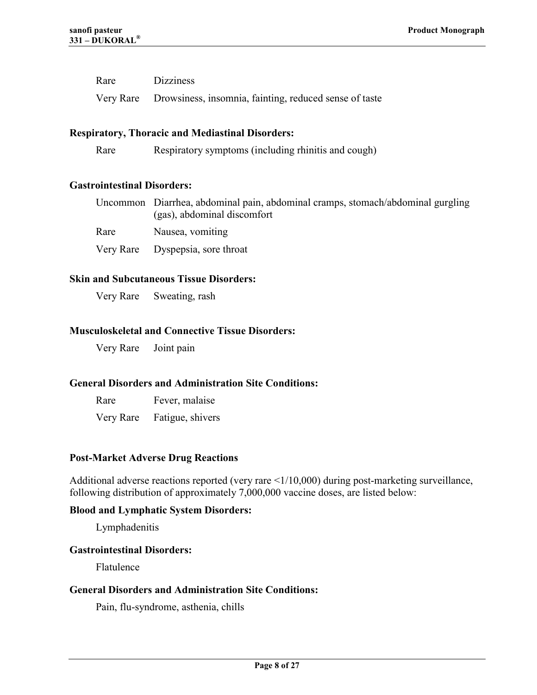<span id="page-7-0"></span>

| Rare | <b>Dizziness</b>                                                 |
|------|------------------------------------------------------------------|
|      | Very Rare Drowsiness, insomnia, fainting, reduced sense of taste |

#### **Respiratory, Thoracic and Mediastinal Disorders:**

Rare Respiratory symptoms (including rhinitis and cough)

#### **Gastrointestinal Disorders:**

 Uncommon Diarrhea, abdominal pain, abdominal cramps, stomach/abdominal gurgling (gas), abdominal discomfort

Rare Nausea, vomiting

Very Rare Dyspepsia, sore throat

#### **Skin and Subcutaneous Tissue Disorders:**

Very Rare Sweating, rash

#### **Musculoskeletal and Connective Tissue Disorders:**

Very Rare Joint pain

#### **General Disorders and Administration Site Conditions:**

Rare Fever, malaise

Very Rare Fatigue, shivers

#### **Post-Market Adverse Drug Reactions**

Additional adverse reactions reported (very rare <1/10,000) during post-marketing surveillance, following distribution of approximately 7,000,000 vaccine doses, are listed below:

#### **Blood and Lymphatic System Disorders:**

Lymphadenitis

#### **Gastrointestinal Disorders:**

Flatulence

#### **General Disorders and Administration Site Conditions:**

Pain, flu-syndrome, asthenia, chills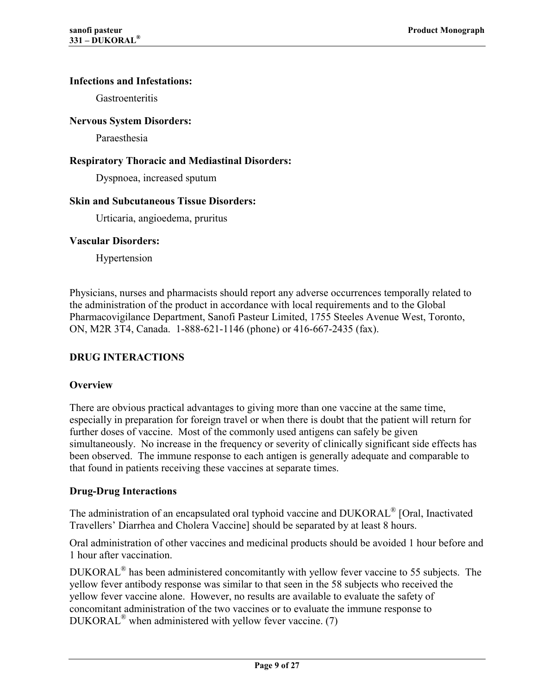#### <span id="page-8-0"></span>**Infections and Infestations:**

**Gastroenteritis** 

#### **Nervous System Disorders:**

Paraesthesia

#### **Respiratory Thoracic and Mediastinal Disorders:**

Dyspnoea, increased sputum

#### **Skin and Subcutaneous Tissue Disorders:**

Urticaria, angioedema, pruritus

#### **Vascular Disorders:**

Hypertension

Physicians, nurses and pharmacists should report any adverse occurrences temporally related to the administration of the product in accordance with local requirements and to the Global Pharmacovigilance Department, Sanofi Pasteur Limited, 1755 Steeles Avenue West, Toronto, ON, M2R 3T4, Canada. 1-888-621-1146 (phone) or 416-667-2435 (fax).

## **DRUG INTERACTIONS**

## **Overview**

There are obvious practical advantages to giving more than one vaccine at the same time, especially in preparation for foreign travel or when there is doubt that the patient will return for further doses of vaccine. Most of the commonly used antigens can safely be given simultaneously. No increase in the frequency or severity of clinically significant side effects has been observed. The immune response to each antigen is generally adequate and comparable to that found in patients receiving these vaccines at separate times.

## **Drug-Drug Interactions**

The administration of an encapsulated oral typhoid vaccine and DUKORAL® [Oral, Inactivated Travellers' Diarrhea and Cholera Vaccine] should be separated by at least 8 hours.

Oral administration of other vaccines and medicinal products should be avoided 1 hour before and 1 hour after vaccination.

DUKORAL<sup>®</sup> has been administered concomitantly with yellow fever vaccine to 55 subjects. The yellow fever antibody response was similar to that seen in the 58 subjects who received the yellow fever vaccine alone. However, no results are available to evaluate the safety of concomitant administration of the two vaccines or to evaluate the immune response to  $DUKORAL^{\circledR}$  when administered with yellow fever vaccine. [\(7\)](#page-20-0)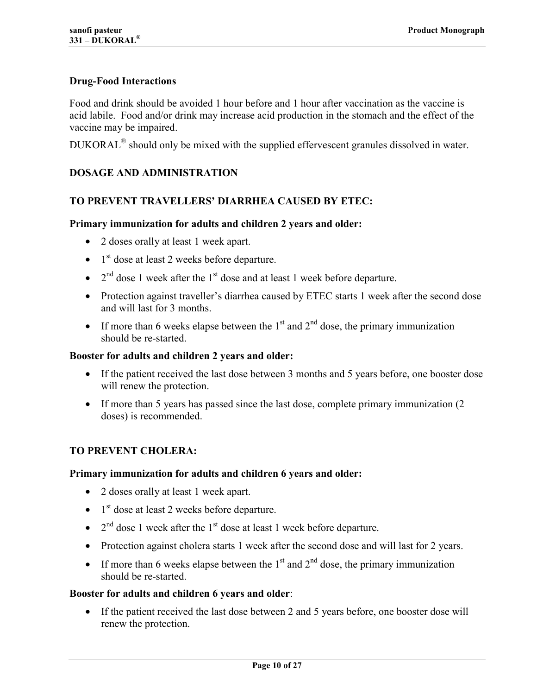#### <span id="page-9-0"></span>**Drug-Food Interactions**

Food and drink should be avoided 1 hour before and 1 hour after vaccination as the vaccine is acid labile. Food and/or drink may increase acid production in the stomach and the effect of the vaccine may be impaired.

DUKORAL<sup>®</sup> should only be mixed with the supplied effervescent granules dissolved in water.

#### **DOSAGE AND ADMINISTRATION**

#### **TO PREVENT TRAVELLERSí DIARRHEA CAUSED BY ETEC:**

#### **Primary immunization for adults and children 2 years and older:**

- 2 doses orally at least 1 week apart.
- $\bullet$  1<sup>st</sup> dose at least 2 weeks before departure.
- $2<sup>nd</sup>$  dose 1 week after the  $1<sup>st</sup>$  dose and at least 1 week before departure.
- Protection against traveller's diarrhea caused by ETEC starts 1 week after the second dose and will last for 3 months.
- If more than 6 weeks elapse between the  $1<sup>st</sup>$  and  $2<sup>nd</sup>$  dose, the primary immunization should be re-started.

#### **Booster for adults and children 2 years and older:**

- If the patient received the last dose between 3 months and 5 years before, one booster dose will renew the protection.
- If more than 5 years has passed since the last dose, complete primary immunization (2) doses) is recommended.

#### **TO PREVENT CHOLERA:**

#### **Primary immunization for adults and children 6 years and older:**

- 2 doses orally at least 1 week apart.
- $\bullet$  1<sup>st</sup> dose at least 2 weeks before departure.
- $2<sup>nd</sup>$  dose 1 week after the  $1<sup>st</sup>$  dose at least 1 week before departure.
- Protection against cholera starts 1 week after the second dose and will last for 2 years.
- If more than 6 weeks elapse between the  $1<sup>st</sup>$  and  $2<sup>nd</sup>$  dose, the primary immunization should be re-started.

#### **Booster for adults and children 6 years and older**:

• If the patient received the last dose between 2 and 5 years before, one booster dose will renew the protection.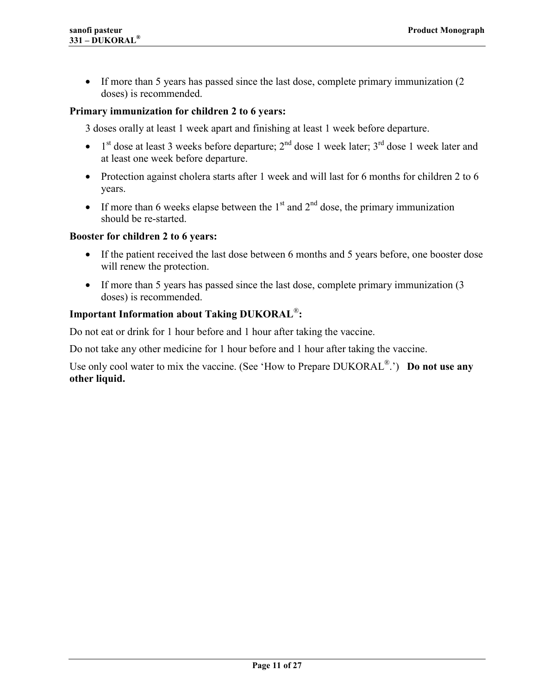• If more than 5 years has passed since the last dose, complete primary immunization (2) doses) is recommended.

#### **Primary immunization for children 2 to 6 years:**

3 doses orally at least 1 week apart and finishing at least 1 week before departure.

- $1<sup>st</sup>$  dose at least 3 weeks before departure;  $2<sup>nd</sup>$  dose 1 week later;  $3<sup>rd</sup>$  dose 1 week later and at least one week before departure.
- Protection against cholera starts after 1 week and will last for 6 months for children 2 to 6 years.
- If more than 6 weeks elapse between the  $1<sup>st</sup>$  and  $2<sup>nd</sup>$  dose, the primary immunization should be re-started.

#### **Booster for children 2 to 6 years:**

- If the patient received the last dose between 6 months and 5 years before, one booster dose will renew the protection.
- If more than 5 years has passed since the last dose, complete primary immunization (3 doses) is recommended.

#### **Important Information about Taking DUKORAL<sup>®</sup>:**

Do not eat or drink for 1 hour before and 1 hour after taking the vaccine.

Do not take any other medicine for 1 hour before and 1 hour after taking the vaccine.

Use only cool water to mix the vaccine. (See 'How to Prepare DUKORAL<sup>®</sup>.') **Do not use any other liquid.**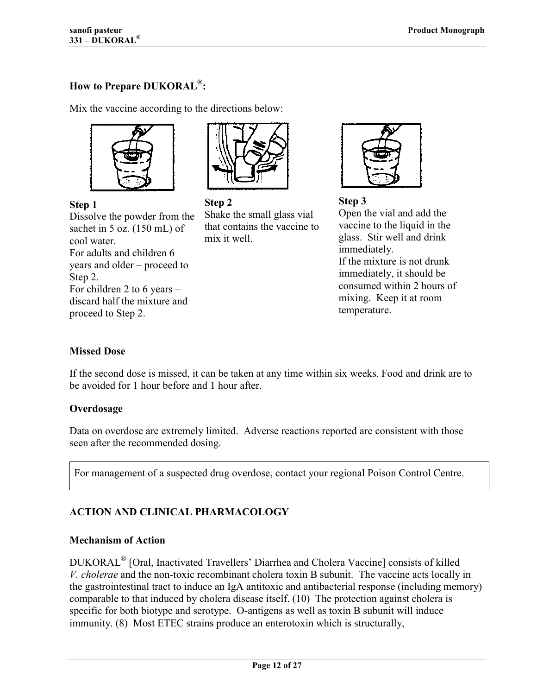## <span id="page-11-0"></span>How to Prepare DUKORAL<sup>®</sup>:

Mix the vaccine according to the directions below:



**Step 1**

Dissolve the powder from the sachet in 5 oz. (150 mL) of cool water. For adults and children 6 years and older  $-$  proceed to Step 2. For children 2 to 6 years  $$ discard half the mixture and proceed to Step 2.



**Step 2**  Shake the small glass vial that contains the vaccine to mix it well.



**Step 3**  Open the vial and add the vaccine to the liquid in the glass. Stir well and drink immediately. If the mixture is not drunk immediately, it should be consumed within 2 hours of mixing. Keep it at room temperature.

#### **Missed Dose**

If the second dose is missed, it can be taken at any time within six weeks. Food and drink are to be avoided for 1 hour before and 1 hour after.

#### **Overdosage**

Data on overdose are extremely limited. Adverse reactions reported are consistent with those seen after the recommended dosing.

For management of a suspected drug overdose, contact your regional Poison Control Centre.

## **ACTION AND CLINICAL PHARMACOLOGY**

## **Mechanism of Action**

DUKORAL<sup>®</sup> [Oral, Inactivated Travellers' Diarrhea and Cholera Vaccine] consists of killed *V. cholerae* and the non-toxic recombinant cholera toxin B subunit. The vaccine acts locally in the gastrointestinal tract to induce an IgA antitoxic and antibacterial response (including memory) comparable to that induced by cholera disease itself. (10) The protection against cholera is specific for both biotype and serotype. O-antigens a[s wel](#page-20-0)l as toxin B subunit will induce immunity. [\(8\)](#page-20-0) Most ETEC strains produce an enterotoxin which is structurally,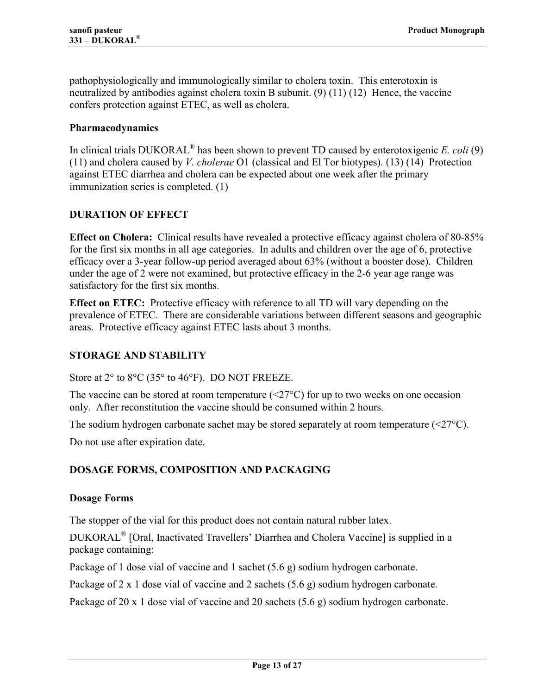<span id="page-12-0"></span>pathophysiologically and immunologically similar to cholera toxin. This enterotoxin is neutralized by antibodies against cholera toxin B subunit. [\(9\) \(11\) \(12\)](#page-20-0) Hence, the vaccine confers protection against ETEC, as well as cholera.

#### **Pharmacodynamics**

In clinical trials DUKORAL<sup>®</sup> has been shown to prevent TD caused by enterotoxigenic *E. coli* [\(9\)](#page-20-0) (11) and cholera caused by *V. cholerae* O1 (classical and El Tor biotypes). (13) (14) Protection [agai](#page-20-0)nst ETEC diarrhea and cholera can be expected about one week after t[he primary](#page-20-0) immunization series is completed. [\(1\)](#page-20-0)

## **DURATION OF EFFECT**

**Effect on Cholera:** Clinical results have revealed a protective efficacy against cholera of 80-85% for the first six months in all age categories. In adults and children over the age of 6, protective efficacy over a 3-year follow-up period averaged about 63% (without a booster dose). Children under the age of 2 were not examined, but protective efficacy in the 2-6 year age range was satisfactory for the first six months.

**Effect on ETEC:** Protective efficacy with reference to all TD will vary depending on the prevalence of ETEC. There are considerable variations between different seasons and geographic areas. Protective efficacy against ETEC lasts about 3 months.

## **STORAGE AND STABILITY**

Store at  $2^{\circ}$  to  $8^{\circ}$ C (35 $^{\circ}$  to 46 $^{\circ}$ F). DO NOT FREEZE.

The vaccine can be stored at room temperature  $(\leq 27^{\circ}C)$  for up to two weeks on one occasion only. After reconstitution the vaccine should be consumed within 2 hours.

The sodium hydrogen carbonate sachet may be stored separately at room temperature  $(\leq 27^{\circ}C)$ .

Do not use after expiration date.

#### **DOSAGE FORMS, COMPOSITION AND PACKAGING**

#### **Dosage Forms**

The stopper of the vial for this product does not contain natural rubber latex.

DUKORAL® [Oral, Inactivated Travellers' Diarrhea and Cholera Vaccine] is supplied in a package containing:

Package of 1 dose vial of vaccine and 1 sachet (5.6 g) sodium hydrogen carbonate.

Package of 2 x 1 dose vial of vaccine and 2 sachets (5.6 g) sodium hydrogen carbonate.

Package of 20 x 1 dose vial of vaccine and 20 sachets (5.6 g) sodium hydrogen carbonate.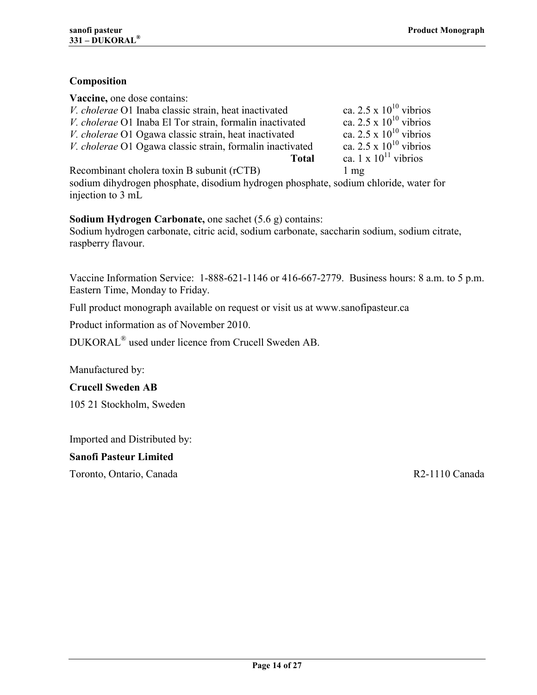## <span id="page-13-0"></span>**Composition**

| Vaccine, one dose contains:                               |                             |
|-----------------------------------------------------------|-----------------------------|
| V. cholerae O1 Inaba classic strain, heat inactivated     | ca. 2.5 x $10^{10}$ vibrios |
| V. cholerae O1 Inaba El Tor strain, formalin inactivated  | ca. 2.5 x $10^{10}$ vibrios |
| V. cholerae O1 Ogawa classic strain, heat inactivated     | ca. 2.5 x $10^{10}$ vibrios |
| V. cholerae O1 Ogawa classic strain, formalin inactivated | ca. 2.5 x $10^{10}$ vibrios |
| <b>Total</b>                                              | ca. 1 x $10^{11}$ vibrios   |
| Recombinant cholera toxin B subunit (rCTB)                | $1 \text{ mg}$              |

sodium dihydrogen phosphate, disodium hydrogen phosphate, sodium chloride, water for injection to 3 mL

**Sodium Hydrogen Carbonate,** one sachet (5.6 g) contains:

Sodium hydrogen carbonate, citric acid, sodium carbonate, saccharin sodium, sodium citrate, raspberry flavour.

Vaccine Information Service: 1-888-621-1146 or 416-667-2779. Business hours: 8 a.m. to 5 p.m. Eastern Time, Monday to Friday.

Full product monograph available on request or visit us at www.sanofipasteur.ca

Product information as of November 2010.

DUKORAL<sup>®</sup> used under licence from Crucell Sweden AB.

Manufactured by:

**Crucell Sweden AB** 

105 21 Stockholm, Sweden

Imported and Distributed by:

**Sanofi Pasteur Limited** 

Toronto, Ontario, Canada R2-1110 Canada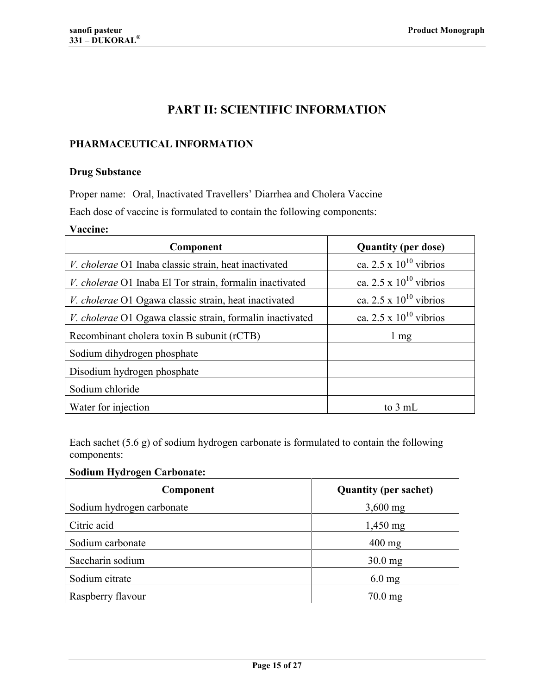## **PART II: SCIENTIFIC INFORMATION**

#### <span id="page-14-0"></span>**PHARMACEUTICAL INFORMATION**

#### **Drug Substance**

Proper name: Oral, Inactivated Travellers' Diarrhea and Cholera Vaccine Each dose of vaccine is formulated to contain the following components:

#### **Vaccine:**

| Component                                                       | <b>Quantity (per dose)</b>  |
|-----------------------------------------------------------------|-----------------------------|
| V. cholerae O1 Inaba classic strain, heat inactivated           | ca. 2.5 x $10^{10}$ vibrios |
| <i>V. cholerae</i> O1 Inaba El Tor strain, formalin inactivated | ca. 2.5 x $10^{10}$ vibrios |
| <i>V. cholerae</i> O1 Ogawa classic strain, heat inactivated    | ca. 2.5 x $10^{10}$ vibrios |
| V. cholerae O1 Ogawa classic strain, formalin inactivated       | ca. 2.5 x $10^{10}$ vibrios |
| Recombinant cholera toxin B subunit (rCTB)                      | $1 \text{ mg}$              |
| Sodium dihydrogen phosphate                                     |                             |
| Disodium hydrogen phosphate                                     |                             |
| Sodium chloride                                                 |                             |
| Water for injection                                             | to 3 mL                     |

Each sachet (5.6 g) of sodium hydrogen carbonate is formulated to contain the following components:

## **Sodium Hydrogen Carbonate:**

| Component                 | <b>Quantity (per sachet)</b> |
|---------------------------|------------------------------|
| Sodium hydrogen carbonate | $3,600$ mg                   |
| Citric acid               | $1,450 \,\mathrm{mg}$        |
| Sodium carbonate          | $400$ mg                     |
| Saccharin sodium          | $30.0$ mg                    |
| Sodium citrate            | $6.0$ mg                     |
| Raspberry flavour         | $70.0$ mg                    |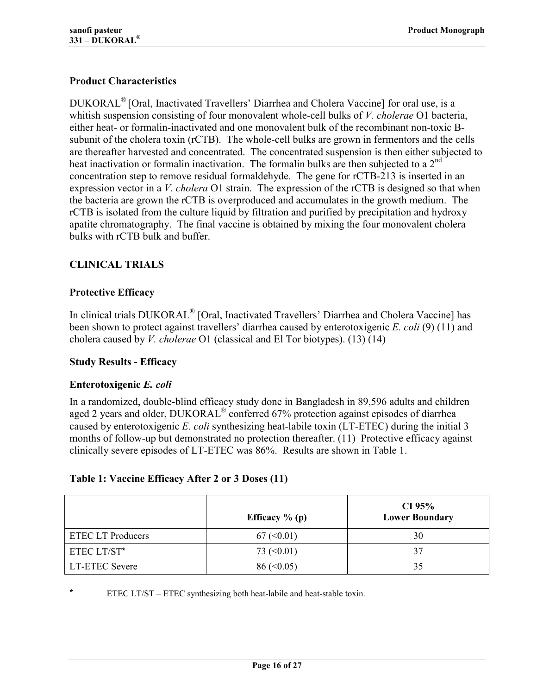## <span id="page-15-0"></span>**Product Characteristics**

DUKORAL<sup>®</sup> [Oral, Inactivated Travellers' Diarrhea and Cholera Vaccine] for oral use, is a whitish suspension consisting of four monovalent whole-cell bulks of *V. cholerae* O1 bacteria, either heat- or formalin-inactivated and one monovalent bulk of the recombinant non-toxic Bsubunit of the cholera toxin (rCTB). The whole-cell bulks are grown in fermentors and the cells are thereafter harvested and concentrated. The concentrated suspension is then either subjected to heat inactivation or formalin inactivation. The formalin bulks are then subjected to a  $2<sup>nd</sup>$ concentration step to remove residual formaldehyde. The gene for rCTB-213 is inserted in an expression vector in a *V. cholera* O1 strain. The expression of the rCTB is designed so that when the bacteria are grown the rCTB is overproduced and accumulates in the growth medium. The rCTB is isolated from the culture liquid by filtration and purified by precipitation and hydroxy apatite chromatography. The final vaccine is obtained by mixing the four monovalent cholera bulks with rCTB bulk and buffer.

## **CLINICAL TRIALS**

## **Protective Efficacy**

In clinical trials DUKORAL<sup>®</sup> [Oral, Inactivated Travellers' Diarrhea and Cholera Vaccine] has been shown to protect against travellers' diarrhea caused by enterotoxigenic *E. coli* [\(9\) \(11\)](#page-20-0) and cholera caused by *V. cholerae* O1 (classical and El Tor biotypes). [\(13\)](#page-20-0) [\(14\)](#page-20-0)

#### **Study Results - Efficacy**

#### **Enterotoxigenic** *E. coli*

In a randomized, double-blind efficacy study done in Bangladesh in 89,596 adults and children aged 2 years and older, DUKORAL<sup>®</sup> conferred 67% protection against episodes of diarrhea caused by enterotoxigenic *E. coli* synthesizing heat-labile toxin (LT-ETEC) during the initial 3 months of follow-up but demonstrated no protection thereafter. (11) Protective efficacy against clinically severe episodes of LT-ETEC was 86%. Results are s[hown](#page-20-0) in Table 1.

#### **Table 1: Vaccine Efficacy After 2 or 3 Doses [\(11\)](#page-20-0)**

|                          | Efficacy $%$ (p)    | CI 95%<br><b>Lower Boundary</b> |
|--------------------------|---------------------|---------------------------------|
| <b>ETEC LT Producers</b> | 67 (< 0.01)         | 30                              |
| ETEC LT/ST*              | 73 $(<0.01$ )       | 37                              |
| <b>LT-ETEC Severe</b>    | $86 \, (\leq 0.05)$ | 35                              |

ETEC LT/ST – ETEC synthesizing both heat-labile and heat-stable toxin.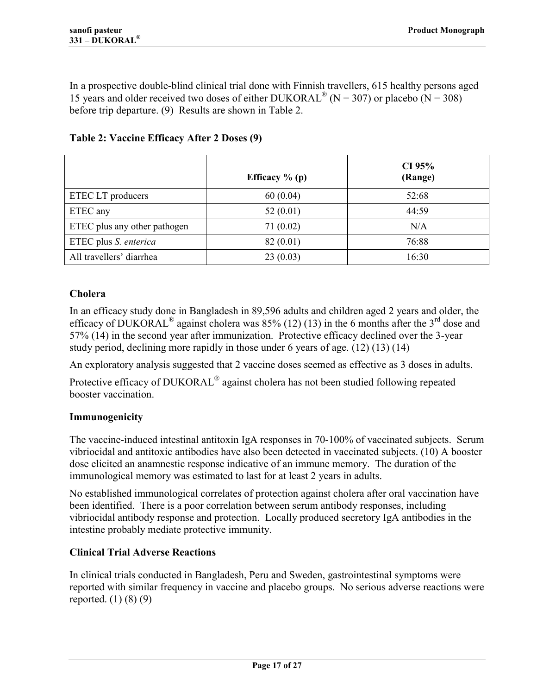<span id="page-16-0"></span>In a prospective double-blind clinical trial done with Finnish travellers, 615 healthy persons aged 15 years and older received two doses of either DUKORAL<sup>®</sup> (N = 307) or placebo (N = 308) before trip departure. [\(9\)](#page-20-0) Results are shown in Table 2.

|                              | Efficacy $%$ (p) | CI 95%<br>(Range) |
|------------------------------|------------------|-------------------|
| ETEC LT producers            | 60(0.04)         | 52:68             |
| ETEC any                     | 52(0.01)         | 44:59             |
| ETEC plus any other pathogen | 71(0.02)         | N/A               |
| ETEC plus S. enterica        | 82 (0.01)        | 76:88             |
| All travellers' diarrhea     | 23(0.03)         | 16:30             |

**Table 2: Vaccine Efficacy After 2 Doses [\(9\)](#page-20-0)** 

## **Cholera**

In an efficacy study done in Bangladesh in 89,596 adults and children aged 2 years and older, the efficacy of DUKORAL<sup>®</sup> against cholera was  $85\%$  (12) (13) in the 6 months after the 3<sup>rd</sup> dose and 57% (14) in the second year after immunization. [Protective](#page-20-0) efficacy declined over the 3-year stud[y per](#page-20-0)iod, declining more rapidly in those under 6 years of age. [\(12\) \(13\) \(14\)](#page-20-0)

An exploratory analysis suggested that 2 vaccine doses seemed as effective as 3 doses in adults.

Protective efficacy of DUKORAL<sup>®</sup> against cholera has not been studied following repeated booster vaccination.

## **Immunogenicity**

The vaccine-induced intestinal antitoxin IgA responses in 70-100% of vaccinated subjects. Serum vibriocidal and antitoxic antibodies have also been detected in vaccinated subjects. (10) A booster dose elicited an anamnestic response indicative of an immune memory. The durati[on of](#page-20-0) the immunological memory was estimated to last for at least 2 years in adults.

No established immunological correlates of protection against cholera after oral vaccination have been identified. There is a poor correlation between serum antibody responses, including vibriocidal antibody response and protection. Locally produced secretory IgA antibodies in the intestine probably mediate protective immunity.

## **Clinical Trial Adverse Reactions**

In clinical trials conducted in Bangladesh, Peru and Sweden, gastrointestinal symptoms were reported with similar frequency in vaccine and placebo groups. No serious adverse reactions were reported. (1) (8) (9)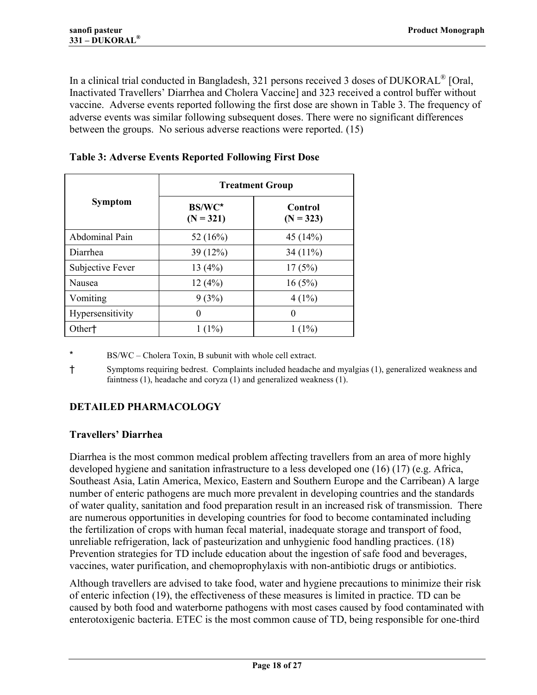<span id="page-17-0"></span>In a clinical trial conducted in Bangladesh, 321 persons received 3 doses of DUKORAL<sup>®</sup> [Oral, Inactivated Travellers' Diarrhea and Cholera Vaccine] and 323 received a control buffer without vaccine. Adverse events reported following the first dose are shown in Table 3. The frequency of adverse events was similar following subsequent doses. There were no significant differences between the groups. No serious adverse reactions were reported. [\(15\)](#page-21-0)

|                    | <b>Treatment Group</b> |                        |
|--------------------|------------------------|------------------------|
| <b>Symptom</b>     | BS/WC*<br>$(N = 321)$  | Control<br>$(N = 323)$ |
| Abdominal Pain     | 52 $(16%)$             | 45(14%)                |
| Diarrhea           | 39(12%)                | 34 $(11\%)$            |
| Subjective Fever   | 13(4%)                 | 17(5%)                 |
| Nausea             | 12(4%)                 | 16(5%)                 |
| Vomiting           | 9(3%)                  | $4(1\%)$               |
| Hypersensitivity   | 0                      | 0                      |
| Other <sup>+</sup> | $1(1\%)$               | $1(1\%)$               |

**Table 3: Adverse Events Reported Following First Dose** 

\* BS/WC – Cholera Toxin, B subunit with whole cell extract.

Ü Symptoms requiring bedrest. Complaints included headache and myalgias (1), generalized weakness and faintness (1), headache and coryza (1) and generalized weakness (1).

## **DETAILED PHARMACOLOGY**

## **Travellers' Diarrhea**

Diarrhea is the most common medical problem affecting travellers from an area of more highly developed hygiene and sanitation infrastructure to a less developed one (16) (17) (e.g. Africa, Southeast Asia, Latin America, Mexico, Eastern and Southern Europe a[nd the Ca](#page-21-0)rribean) A large number of enteric pathogens are much more prevalent in developing countries and the standards of water quality, sanitation and food preparation result in an increased risk of transmission. There are numerous opportunities in developing countries for food to become contaminated including the fertilization of crops with human fecal material, inadequate storage and transport of food, unreliable refrigeration, lack of pasteurization and unhygienic food handling practices. (18) Prevention strategies for TD include education about the ingestion of safe food and be[verag](#page-21-0)es, vaccines, water purification, and chemoprophylaxis with non-antibiotic drugs or antibiotics.

Although travellers are advised to take food, water and hygiene precautions to minimize their risk of enteric infection (19), the effectiveness of these measures is limited in practice. TD can be caused by both foo[d and](#page-21-0) waterborne pathogens with most cases caused by food contaminated with enterotoxigenic bacteria. ETEC is the most common cause of TD, being responsible for one-third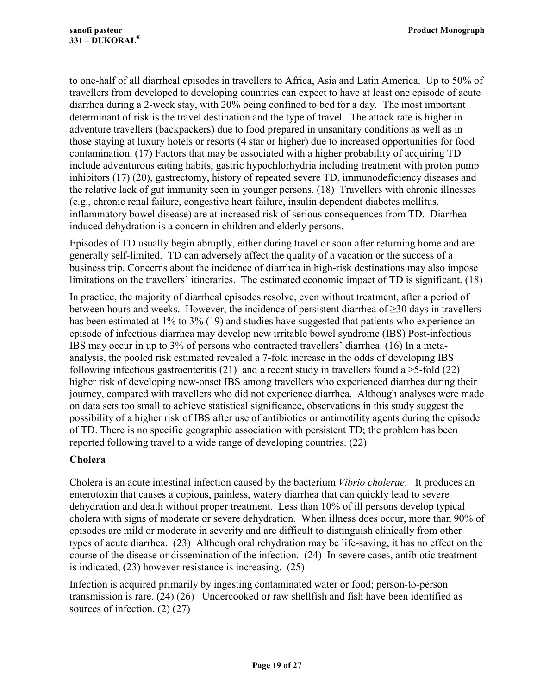<span id="page-18-0"></span>to one-half of all diarrheal episodes in travellers to Africa, Asia and Latin America. Up to 50% of travellers from developed to developing countries can expect to have at least one episode of acute diarrhea during a 2-week stay, with 20% being confined to bed for a day. The most important determinant of risk is the travel destination and the type of travel. The attack rate is higher in adventure travellers (backpackers) due to food prepared in unsanitary conditions as well as in those staying at luxury hotels or resorts (4 star or higher) due to increased opportunities for food contamination. (17) Factors that may be associated with a higher probability of acquiring TD include advent[urous](#page-21-0) eating habits, gastric hypochlorhydria including treatment with proton pump inhibitors (17) (20), gastrectomy, history of repeated severe TD, immunodeficiency diseases and the relativ[e lack of](#page-21-0) gut immunity seen in younger persons. (18) Travellers with chronic illnesses (e.g., chronic renal failure, congestive heart failure, insuli[n dep](#page-21-0)endent diabetes mellitus, inflammatory bowel disease) are at increased risk of serious consequences from TD. Diarrheainduced dehydration is a concern in children and elderly persons.

Episodes of TD usually begin abruptly, either during travel or soon after returning home and are generally self-limited. TD can adversely affect the quality of a vacation or the success of a business trip. Concerns about the incidence of diarrhea in high-risk destinations may also impose limitations on the travellers' itineraries. The estimated economic impact of TD is significant. [\(18\)](#page-21-0)

In practice, the majority of diarrheal episodes resolve, even without treatment, after a period of between hours and weeks. However, the incidence of persistent diarrhea of  $\geq$ 30 days in travellers has been estimated at 1% to 3% (19) and studies have suggested that patients who experience an episode of infectious diarrhea m[ay d](#page-21-0)evelop new irritable bowel syndrome (IBS) Post-infectious IBS may occur in up to 3% of persons who contracted travellers' diarrhea. (16) In a metaanalysis, the pooled risk estimated revealed a 7-fold increase in the odds o[f dev](#page-21-0)eloping IBS following infectious gastroenteritis  $(21)$  and a recent study in travellers found a  $>$ 5-fold  $(22)$ higher risk of developing new-ons[et IBS](#page-21-0) among travellers who experienced diarrhea dur[ing t](#page-21-0)heir journey, compared with travellers who did not experience diarrhea. Although analyses were made on data sets too small to achieve statistical significance, observations in this study suggest the possibility of a higher risk of IBS after use of antibiotics or antimotility agents during the episode of TD. There is no specific geographic association with persistent TD; the problem has been reported following travel to a wide range of developing countries. [\(22\)](#page-21-0)

## **Cholera**

Cholera is an acute intestinal infection caused by the bacterium *Vibrio cholerae*. It produces an enterotoxin that causes a copious, painless, watery diarrhea that can quickly lead to severe dehydration and death without proper treatment. Less than 10% of ill persons develop typical cholera with signs of moderate or severe dehydration. When illness does occur, more than 90% of episodes are mild or moderate in severity and are difficult to distinguish clinically from other types of acute diarrhea. (23) Although oral rehydration may be life-saving, it has no effect on the course of the disease or [disse](#page-21-0)mination of the infection. [\(24\)](#page-21-0) In severe cases, antibiotic treatment is indicated, [\(23\)](#page-21-0) however resistance is increasing. [\(25\)](#page-21-0)

Infection is acquired primarily by ingesting contaminated water or food; person-to-person transmission is rare. (24) (26) Undercooked or raw shellfish and fish have been identified as sources of infection. [\(2\) \(27\)](#page-21-0)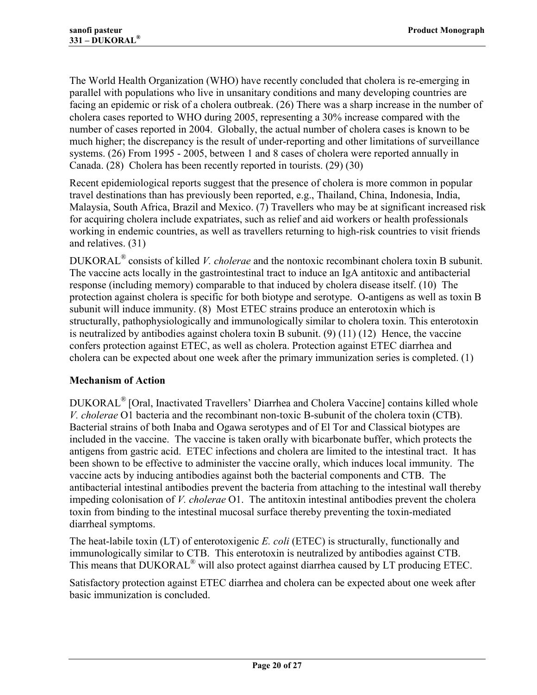<span id="page-19-0"></span>The World Health Organization (WHO) have recently concluded that cholera is re-emerging in parallel with populations who live in unsanitary conditions and many developing countries are facing an epidemic or risk of a cholera outbreak. (26) There was a sharp increase in the number of cholera cases reported to WHO during 2005, rep[resen](#page-21-0)ting a 30% increase compared with the number of cases reported in 2004. Globally, the actual number of cholera cases is known to be much higher; the discrepancy is the result of under-reporting and other limitations of surveillance systems. (26) From 1995 - 2005, between 1 and 8 cases of cholera were reported annually in Canada. [\(28\)](#page-21-0) Cholera has been recently reported in tourists. [\(29\) \(30\)](#page-21-0)

Recent epidemiological reports suggest that the presence of cholera is more common in popular travel destinations than has previously been reported, e.g., Thailand, China, Indonesia, India, Malaysia, South Africa, Brazil and Mexico. (7) Travellers who may be at significant increased risk for acquiring cholera include expatriates, su[ch a](#page-20-0)s relief and aid workers or health professionals working in endemic countries, as well as travellers returning to high-risk countries to visit friends and relatives. [\(31\)](#page-21-0)

DUKORAL<sup>®</sup> consists of killed *V. cholerae* and the nontoxic recombinant cholera toxin B subunit. The vaccine acts locally in the gastrointestinal tract to induce an IgA antitoxic and antibacterial response (including memory) comparable to that induced by cholera disease itself. (10) The protection against cholera is specific for both biotype and serotype. O-antigens as [well](#page-20-0) as toxin B subunit will induce immunity. (8) Most ETEC strains produce an enterotoxin which is structurally, pathophysiologic[ally](#page-20-0) and immunologically similar to cholera toxin. This enterotoxin is neutralized by antibodies against cholera toxin B subunit. (9) (11) (12) Hence, the vaccine confers protection against ETEC, as well as cholera. Protect[ion](#page-20-0) [against E](#page-20-0)TEC diarrhea and cholera can be expected about one week after the primary immunization series is completed. [\(1\)](#page-20-0)

## **Mechanism of Action**

DUKORAL<sup>®</sup> [Oral, Inactivated Travellers' Diarrhea and Cholera Vaccine] contains killed whole *V. cholerae* O1 bacteria and the recombinant non-toxic B-subunit of the cholera toxin (CTB). Bacterial strains of both Inaba and Ogawa serotypes and of El Tor and Classical biotypes are included in the vaccine. The vaccine is taken orally with bicarbonate buffer, which protects the antigens from gastric acid. ETEC infections and cholera are limited to the intestinal tract. It has been shown to be effective to administer the vaccine orally, which induces local immunity. The vaccine acts by inducing antibodies against both the bacterial components and CTB. The antibacterial intestinal antibodies prevent the bacteria from attaching to the intestinal wall thereby impeding colonisation of *V. cholerae* O1. The antitoxin intestinal antibodies prevent the cholera toxin from binding to the intestinal mucosal surface thereby preventing the toxin-mediated diarrheal symptoms.

The heat-labile toxin (LT) of enterotoxigenic *E. coli* (ETEC) is structurally, functionally and immunologically similar to CTB. This enterotoxin is neutralized by antibodies against CTB. This means that DUKORAL<sup>®</sup> will also protect against diarrhea caused by LT producing ETEC.

Satisfactory protection against ETEC diarrhea and cholera can be expected about one week after basic immunization is concluded.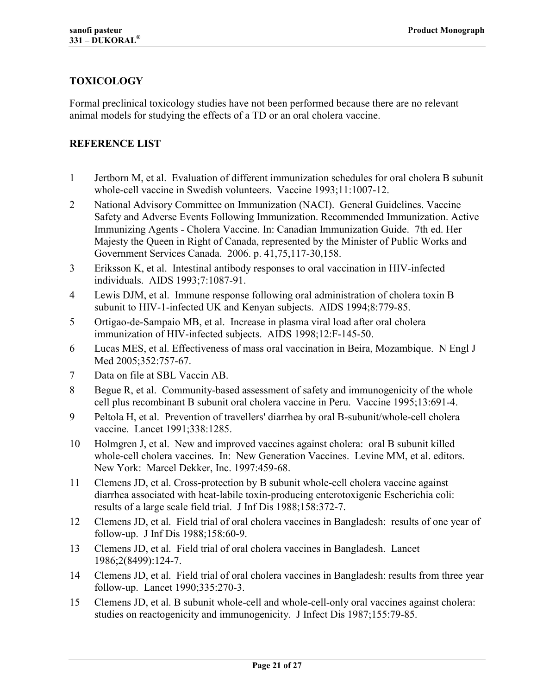## <span id="page-20-0"></span>**TOXICOLOGY**

Formal preclinical toxicology studies have not been performed because there are no relevant animal models for studying the effects of a TD or an oral cholera vaccine.

#### **REFERENCE LIST**

- 1 Jertborn M, et al. Evaluation of different immunization schedules for oral cholera B subunit whole-cell vaccine in Swedish volunteers. Vaccine 1993;11:1007-12.
- 2 National Advisory Committee on Immunization (NACI). General Guidelines. Vaccine Safety and Adverse Events Following Immunization. Recommended Immunization. Active Immunizing Agents - Cholera Vaccine. In: Canadian Immunization Guide. 7th ed. Her Majesty the Queen in Right of Canada, represented by the Minister of Public Works and Government Services Canada. 2006. p. 41,75,117-30,158.
- 3 Eriksson K, et al. Intestinal antibody responses to oral vaccination in HIV-infected individuals. AIDS 1993;7:1087-91.
- 4 Lewis DJM, et al. Immune response following oral administration of cholera toxin B subunit to HIV-1-infected UK and Kenyan subjects. AIDS 1994;8:779-85.
- 5 Ortigao-de-Sampaio MB, et al. Increase in plasma viral load after oral cholera immunization of HIV-infected subjects. AIDS 1998;12:F-145-50.
- 6 Lucas MES, et al. Effectiveness of mass oral vaccination in Beira, Mozambique. N Engl J Med 2005;352:757-67.
- 7 Data on file at SBL Vaccin AB.
- 8 Begue R, et al. Community-based assessment of safety and immunogenicity of the whole cell plus recombinant B subunit oral cholera vaccine in Peru. Vaccine 1995;13:691-4.
- 9 Peltola H, et al. Prevention of travellers' diarrhea by oral B-subunit/whole-cell cholera vaccine. Lancet 1991;338:1285.
- 10 Holmgren J, et al. New and improved vaccines against cholera: oral B subunit killed whole-cell cholera vaccines. In: New Generation Vaccines. Levine MM, et al. editors. New York: Marcel Dekker, Inc. 1997:459-68.
- 11 Clemens JD, et al. Cross-protection by B subunit whole-cell cholera vaccine against diarrhea associated with heat-labile toxin-producing enterotoxigenic Escherichia coli: results of a large scale field trial. J Inf Dis 1988;158:372-7.
- 12 Clemens JD, et al. Field trial of oral cholera vaccines in Bangladesh: results of one year of follow-up. J Inf Dis 1988;158:60-9.
- 13 Clemens JD, et al. Field trial of oral cholera vaccines in Bangladesh. Lancet 1986;2(8499):124-7.
- 14 Clemens JD, et al. Field trial of oral cholera vaccines in Bangladesh: results from three year follow-up. Lancet 1990;335:270-3.
- 15 Clemens JD, et al. B subunit whole-cell and whole-cell-only oral vaccines against cholera: studies on reactogenicity and immunogenicity. J Infect Dis 1987;155:79-85.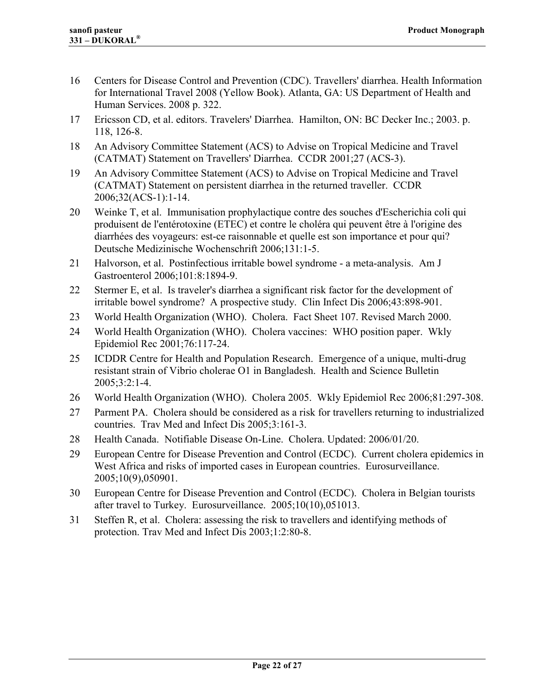- <span id="page-21-0"></span>16 Centers for Disease Control and Prevention (CDC). Travellers' diarrhea. Health Information for International Travel 2008 (Yellow Book). Atlanta, GA: US Department of Health and Human Services. 2008 p. 322.
- 17 Ericsson CD, et al. editors. Travelers' Diarrhea. Hamilton, ON: BC Decker Inc.; 2003. p. 118, 126-8.
- 18 An Advisory Committee Statement (ACS) to Advise on Tropical Medicine and Travel (CATMAT) Statement on Travellers' Diarrhea. CCDR 2001;27 (ACS-3).
- 19 An Advisory Committee Statement (ACS) to Advise on Tropical Medicine and Travel (CATMAT) Statement on persistent diarrhea in the returned traveller. CCDR 2006;32(ACS-1):1-14.
- 20 Weinke T, et al. Immunisation prophylactique contre des souches d'Escherichia coli qui produisent de l'entérotoxine (ETEC) et contre le choléra qui peuvent être à l'origine des diarrhées des voyageurs: est-ce raisonnable et quelle est son importance et pour qui? Deutsche Medizinische Wochenschrift 2006;131:1-5.
- 21 Halvorson, et al. Postinfectious irritable bowel syndrome a meta-analysis. Am J Gastroenterol 2006;101:8:1894-9.
- 22 Stermer E, et al. Is traveler's diarrhea a significant risk factor for the development of irritable bowel syndrome? A prospective study. Clin Infect Dis 2006;43:898-901.
- 23 World Health Organization (WHO). Cholera. Fact Sheet 107. Revised March 2000.
- 24 World Health Organization (WHO). Cholera vaccines: WHO position paper. Wkly Epidemiol Rec 2001;76:117-24.
- 25 ICDDR Centre for Health and Population Research. Emergence of a unique, multi-drug resistant strain of Vibrio cholerae O1 in Bangladesh. Health and Science Bulletin 2005;3:2:1-4.
- 26 World Health Organization (WHO). Cholera 2005. Wkly Epidemiol Rec 2006;81:297-308.
- 27 Parment PA. Cholera should be considered as a risk for travellers returning to industrialized countries. Trav Med and Infect Dis 2005;3:161-3.
- 28 Health Canada. Notifiable Disease On-Line. Cholera. Updated: 2006/01/20.
- 29 European Centre for Disease Prevention and Control (ECDC). Current cholera epidemics in West Africa and risks of imported cases in European countries. Eurosurveillance. 2005;10(9),050901.
- 30 European Centre for Disease Prevention and Control (ECDC). Cholera in Belgian tourists after travel to Turkey. Eurosurveillance. 2005;10(10),051013.
- 31 Steffen R, et al. Cholera: assessing the risk to travellers and identifying methods of protection. Trav Med and Infect Dis 2003;1:2:80-8.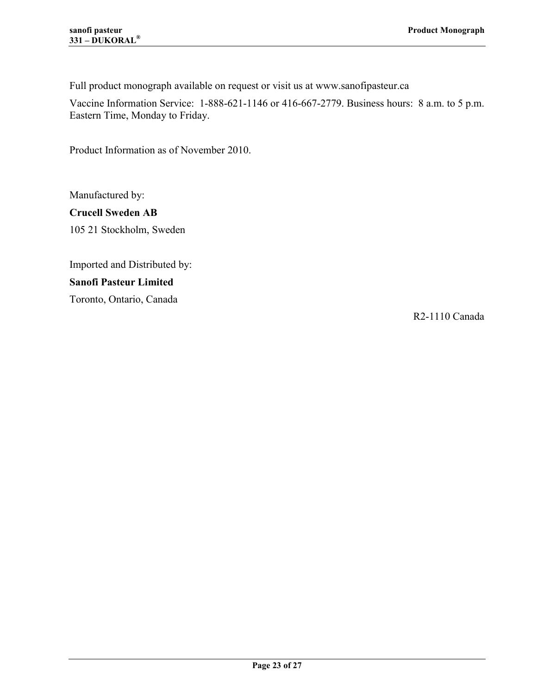Full product monograph available on request or visit us at www.sanofipasteur.ca

Vaccine Information Service: 1-888-621-1146 or 416-667-2779. Business hours: 8 a.m. to 5 p.m. Eastern Time, Monday to Friday.

Product Information as of November 2010.

Manufactured by: **Crucell Sweden AB**  105 21 Stockholm, Sweden

Imported and Distributed by: **Sanofi Pasteur Limited** 

Toronto, Ontario, Canada

R2-1110 Canada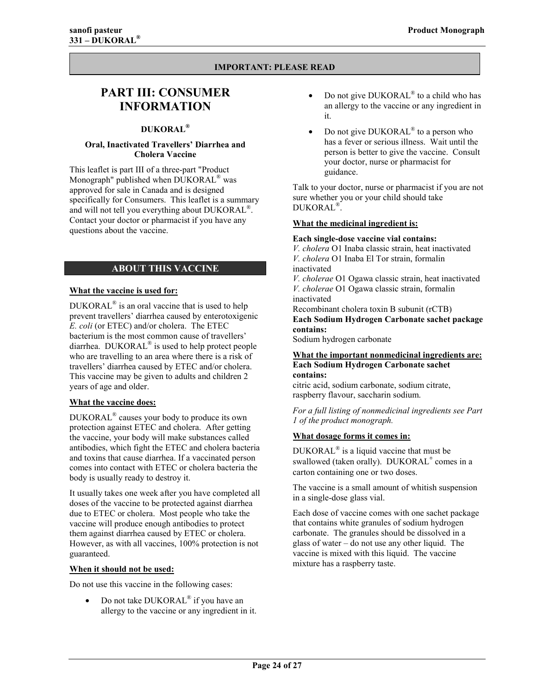#### **IMPORTANT: PLEASE READ**

## <span id="page-23-0"></span>**PART III: CONSUMER INFORMATION**

#### **DUKORAL®**

#### **Oral, Inactivated Travellers' Diarrhea and Cholera Vaccine**

This leaflet is part III of a three-part "Product Monograph" published when  $DUKORAL^{\circledR}$  was approved for sale in Canada and is designed specifically for Consumers. This leaflet is a summary and will not tell you everything about DUKORAL<sup>®</sup>. Contact your doctor or pharmacist if you have any questions about the vaccine.

#### **ABOUT THIS VACCINE**

#### **What the vaccine is used for:**

DUKORAL $^{\circ}$  is an oral vaccine that is used to help prevent travellers' diarrhea caused by enterotoxigenic *E. coli* (or ETEC) and/or cholera. The ETEC bacterium is the most common cause of travellers' diarrhea. DUKORAL<sup>®</sup> is used to help protect people who are travelling to an area where there is a risk of travellers' diarrhea caused by ETEC and/or cholera. This vaccine may be given to adults and children 2 years of age and older.

#### **What the vaccine does:**

DUKORAL<sup>®</sup> causes your body to produce its own protection against ETEC and cholera. After getting the vaccine, your body will make substances called antibodies, which fight the ETEC and cholera bacteria and toxins that cause diarrhea. If a vaccinated person comes into contact with ETEC or cholera bacteria the body is usually ready to destroy it.

It usually takes one week after you have completed all doses of the vaccine to be protected against diarrhea due to ETEC or cholera. Most people who take the vaccine will produce enough antibodies to protect them against diarrhea caused by ETEC or cholera. However, as with all vaccines, 100% protection is not guaranteed.

#### **When it should not be used:**

Do not use this vaccine in the following cases:

• Do not take  $DUKORAL^{\circledR}$  if you have an allergy to the vaccine or any ingredient in it.

- Do not give DUKORAL<sup>®</sup> to a child who has an allergy to the vaccine or any ingredient in it.
- Do not give DUKORAL<sup>®</sup> to a person who has a fever or serious illness. Wait until the person is better to give the vaccine. Consult your doctor, nurse or pharmacist for guidance.

Talk to your doctor, nurse or pharmacist if you are not sure whether you or your child should take DUKORAL<sup>®</sup>.

#### **What the medicinal ingredient is:**

#### **Each single-dose vaccine vial contains:**

*V. cholera* O1 Inaba classic strain, heat inactivated *V. cholera* O1 Inaba El Tor strain, formalin inactivated *V. cholerae* O1 Ogawa classic strain, heat inactivated *V. cholerae* O1 Ogawa classic strain, formalin inactivated Recombinant cholera toxin B subunit (rCTB)

**Each Sodium Hydrogen Carbonate sachet package contains:** 

Sodium hydrogen carbonate

#### **What the important nonmedicinal ingredients are: Each Sodium Hydrogen Carbonate sachet contains:**

citric acid, sodium carbonate, sodium citrate, raspberry flavour, saccharin sodium.

*For a full listing of nonmedicinal ingredients see Part 1 of the product monograph.* 

#### **What dosage forms it comes in:**

 $DUKORAL^{\circledR}$  is a liquid vaccine that must be swallowed (taken orally). DUKORAL<sup>®</sup> comes in a carton containing one or two doses.

The vaccine is a small amount of whitish suspension in a single-dose glass vial.

Each dose of vaccine comes with one sachet package that contains white granules of sodium hydrogen carbonate. The granules should be dissolved in a glass of water  $-\text{ do not use any other liquid.}$ vaccine is mixed with this liquid. The vaccine mixture has a raspberry taste.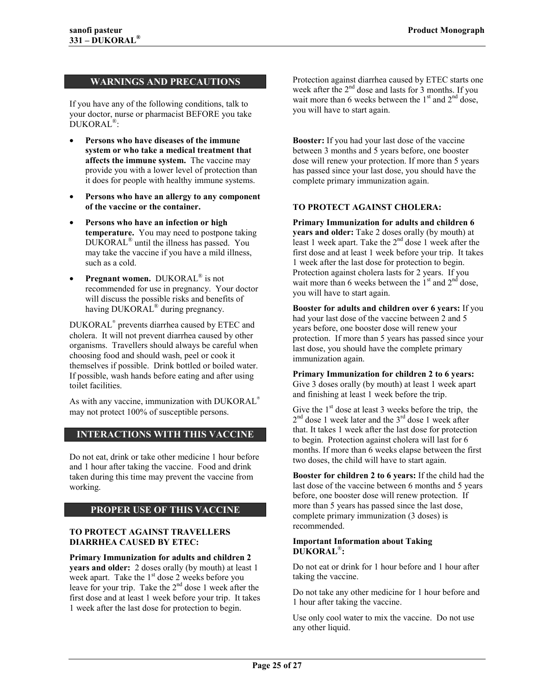#### <span id="page-24-0"></span>**WARNINGS AND PRECAUTIONS**

If you have any of the following conditions, talk to your doctor, nurse or pharmacist BEFORE you take DUKORAL<sup>®</sup>:

- **Persons who have diseases of the immune system or who take a medical treatment that affects the immune system.** The vaccine may provide you with a lower level of protection than it does for people with healthy immune systems.
- **Persons who have an allergy to any component of the vaccine or the container.**
- **Persons who have an infection or high temperature.** You may need to postpone taking  $DUKORAL^{\circledR}$  until the illness has passed. You may take the vaccine if you have a mild illness, such as a cold.
- **Pregnant women.** DUKORAL<sup>®</sup> is not recommended for use in pregnancy. Your doctor will discuss the possible risks and benefits of having DUKORAL<sup>®</sup> during pregnancy.

DUKORAL® prevents diarrhea caused by ETEC and cholera. It will not prevent diarrhea caused by other organisms. Travellers should always be careful when choosing food and should wash, peel or cook it themselves if possible. Drink bottled or boiled water. If possible, wash hands before eating and after using toilet facilities.

As with any vaccine, immunization with DUKORAL® may not protect 100% of susceptible persons.

#### **INTERACTIONS WITH THIS VACCINE**

Do not eat, drink or take other medicine 1 hour before and 1 hour after taking the vaccine. Food and drink taken during this time may prevent the vaccine from working.

#### **PROPER USE OF THIS VACCINE**

#### **TO PROTECT AGAINST TRAVELLERS DIARRHEA CAUSED BY ETEC:**

**Primary Immunization for adults and children 2 years and older:** 2 doses orally (by mouth) at least 1 week apart. Take the  $1<sup>st</sup>$  dose 2 weeks before you leave for your trip. Take the  $2<sup>nd</sup>$  dose 1 week after the first dose and at least 1 week before your trip. It takes 1 week after the last dose for protection to begin.

Protection against diarrhea caused by ETEC starts one week after the  $2<sup>nd</sup>$  dose and lasts for 3 months. If you wait more than 6 weeks between the  $1<sup>st</sup>$  and  $2<sup>nd</sup>$  dose, you will have to start again.

**Booster:** If you had your last dose of the vaccine between 3 months and 5 years before, one booster dose will renew your protection. If more than 5 years has passed since your last dose, you should have the complete primary immunization again.

#### **TO PROTECT AGAINST CHOLERA:**

**Primary Immunization for adults and children 6 years and older:** Take 2 doses orally (by mouth) at least 1 week apart. Take the  $2<sup>nd</sup>$  dose 1 week after the first dose and at least 1 week before your trip. It takes 1 week after the last dose for protection to begin. Protection against cholera lasts for 2 years. If you wait more than 6 weeks between the  $1<sup>st</sup>$  and  $2<sup>nd</sup>$  dose, you will have to start again.

**Booster for adults and children over 6 years:** If you had your last dose of the vaccine between 2 and 5 years before, one booster dose will renew your protection. If more than 5 years has passed since your last dose, you should have the complete primary immunization again.

**Primary Immunization for children 2 to 6 years:**  Give 3 doses orally (by mouth) at least 1 week apart and finishing at least 1 week before the trip.

Give the  $1<sup>st</sup>$  dose at least 3 weeks before the trip, the  $2<sup>nd</sup>$  dose 1 week later and the  $3<sup>rd</sup>$  dose 1 week after that. It takes 1 week after the last dose for protection to begin. Protection against cholera will last for 6 months. If more than 6 weeks elapse between the first two doses, the child will have to start again.

**Booster for children 2 to 6 years:** If the child had the last dose of the vaccine between 6 months and 5 years before, one booster dose will renew protection. If more than 5 years has passed since the last dose, complete primary immunization (3 doses) is recommended.

#### **Important Information about Taking**  DUKORAL<sup>®</sup>:

Do not eat or drink for 1 hour before and 1 hour after taking the vaccine.

Do not take any other medicine for 1 hour before and 1 hour after taking the vaccine.

Use only cool water to mix the vaccine. Do not use any other liquid.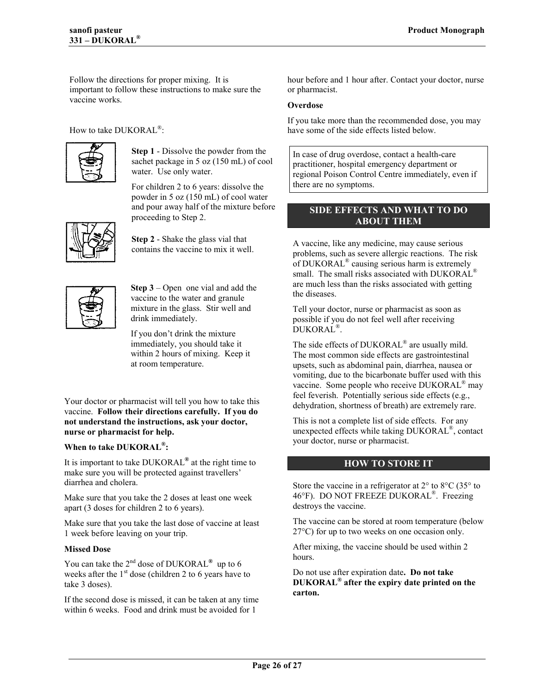<span id="page-25-0"></span>Follow the directions for proper mixing. It is important to follow these instructions to make sure the vaccine works.

How to take DUKORAL<sup>®</sup>:



**Step 1** - Dissolve the powder from the sachet package in 5 oz (150 mL) of cool water. Use only water.

For children 2 to 6 years: dissolve the powder in 5 oz (150 mL) of cool water and pour away half of the mixture before proceeding to Step 2.



**Step 2** - Shake the glass vial that contains the vaccine to mix it well.



**Step 3** – Open one vial and add the vaccine to the water and granule mixture in the glass. Stir well and drink immediately.

If you don't drink the mixture immediately, you should take it within 2 hours of mixing. Keep it at room temperature.

Your doctor or pharmacist will tell you how to take this vaccine. **Follow their directions carefully. If you do not understand the instructions, ask your doctor, nurse or pharmacist for help.** 

#### **When to take DUKORAL<sup>®</sup>:**

It is important to take DUKORAL<sup>®</sup> at the right time to make sure you will be protected against travellers' diarrhea and cholera.

Make sure that you take the 2 doses at least one week apart (3 doses for children 2 to 6 years).

Make sure that you take the last dose of vaccine at least 1 week before leaving on your trip.

#### **Missed Dose**

You can take the  $2<sup>nd</sup>$  dose of DUKORAL<sup>®</sup> up to 6 weeks after the  $1<sup>st</sup>$  dose (children 2 to 6 years have to take 3 doses).

If the second dose is missed, it can be taken at any time within 6 weeks. Food and drink must be avoided for 1

hour before and 1 hour after. Contact your doctor, nurse or pharmacist.

#### **Overdose**

If you take more than the recommended dose, you may have some of the side effects listed below.

In case of drug overdose, contact a health-care practitioner, hospital emergency department or regional Poison Control Centre immediately, even if there are no symptoms.

#### **SIDE EFFECTS AND WHAT TO DO ABOUT THEM**

A vaccine, like any medicine, may cause serious problems, such as severe allergic reactions. The risk of DUKORAL<sup>®</sup> causing serious harm is extremely small. The small risks associated with DUKORAL<sup>®</sup> are much less than the risks associated with getting the diseases.

Tell your doctor, nurse or pharmacist as soon as possible if you do not feel well after receiving DUKORAL<sup>®</sup>.

The side effects of  $DUKORAL^{\circledR}$  are usually mild. The most common side effects are gastrointestinal upsets, such as abdominal pain, diarrhea, nausea or vomiting, due to the bicarbonate buffer used with this vaccine. Some people who receive  $DUKORAL^{\omega}$  may feel feverish. Potentially serious side effects (e.g., dehydration, shortness of breath) are extremely rare.

This is not a complete list of side effects. For any unexpected effects while taking  $DUKORAL^{\omega}$ , contact your doctor, nurse or pharmacist.

#### **HOW TO STORE IT**

Store the vaccine in a refrigerator at  $2^{\circ}$  to  $8^{\circ}$ C (35 $^{\circ}$  to 46°F). DO NOT FREEZE DUKORAL<sup>®</sup>. Freezing destroys the vaccine.

The vaccine can be stored at room temperature (below 27°C) for up to two weeks on one occasion only.

After mixing, the vaccine should be used within 2 hours.

Do not use after expiration date**. Do not take DUKORALÆ after the expiry date printed on the carton.**